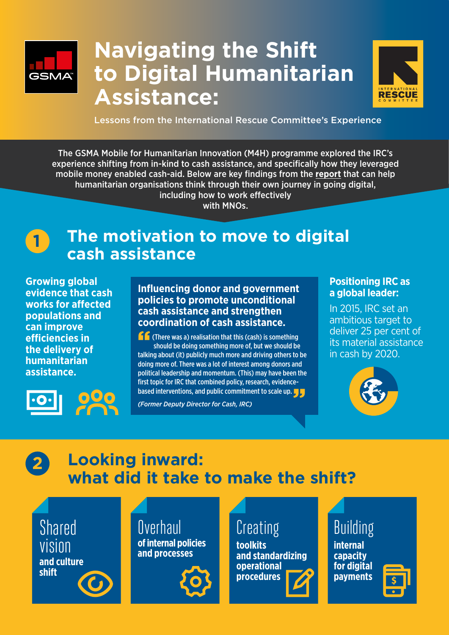

# **Navigating the Shift to Digital Humanitarian Assistance:**



Lessons from the International Rescue Committee's Experience

The GSMA Mobile for Humanitarian Innovation (M4H) programme explored the IRC's experience shifting from in-kind to cash assistance, and specifically how they leveraged mobile money enabled cash-aid. Below are key findings from the **[report](https://www.gsma.com/mobilefordevelopment/wp-content/uploads/2019/12/IRC_Report_R2_WebSpreads.pdf)** that can help humanitarian organisations think through their own journey in going digital, including how to work effectively

with MNOs.



### **The motivation to move to digital cash assistance**

**Growing global evidence that cash works for affected populations and can improve efficiencies in the delivery of humanitarian assistance.**



**Influencing donor and government policies to promote unconditional cash assistance and strengthen coordination of cash assistance.**

**T** (There was a) realisation that this (cash) is something<br>should be doing something more of, but we should be<br>talking about (it) publish much more and driving others to should be doing something more of, but we should be talking about (it) publicly much more and driving others to be doing more of. There was a lot of interest among donors and political leadership and momentum. (This) may have been the first topic for IRC that combined policy, research, evidencebased interventions, and public commitment to scale up. The<br>(Former Deputy Director for Cash, IRC)

*(Former Deputy Director for Cash, IRC)*

#### **Positioning IRC as a global leader:**

In 2015, IRC set an ambitious target to deliver 25 per cent of its material assistance in cash by 2020.



#### **Looking inward: what did it take to make the shift? 2**

Shared vision **and culture shift**

**Overhaul of internal policies and processes**



# Creating

**toolkits and standardizing operational procedures**

#### Building **internal**

**capacity for digital payments**